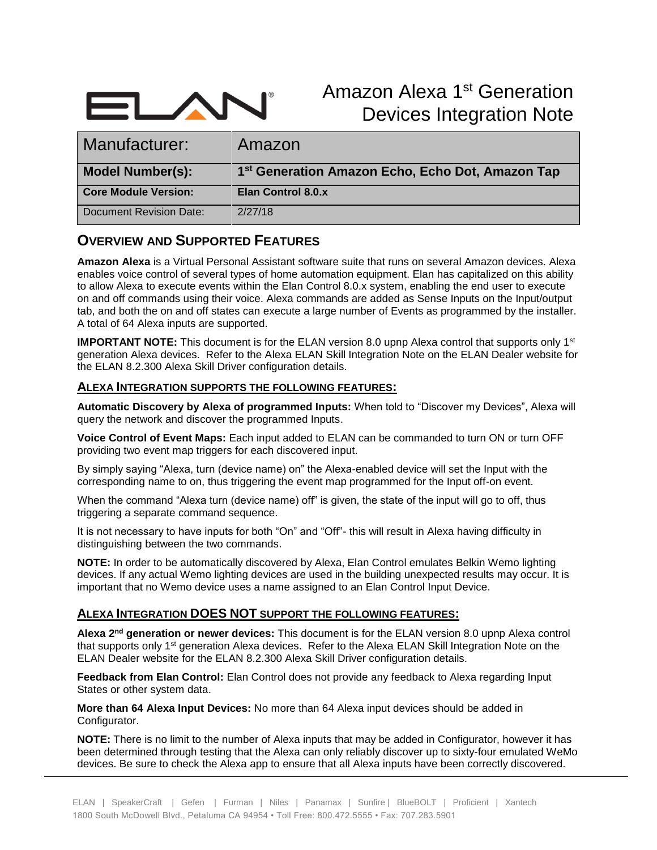

Amazon Alexa 1st Generation Devices Integration Note

| Manufacturer:               | Amazon                                                       |
|-----------------------------|--------------------------------------------------------------|
| Model Number(s):            | 1 <sup>st</sup> Generation Amazon Echo, Echo Dot, Amazon Tap |
| <b>Core Module Version:</b> | Elan Control 8.0.x                                           |
|                             |                                                              |

### **OVERVIEW AND SUPPORTED FEATURES**

**Amazon Alexa** is a Virtual Personal Assistant software suite that runs on several Amazon devices. Alexa enables voice control of several types of home automation equipment. Elan has capitalized on this ability to allow Alexa to execute events within the Elan Control 8.0.x system, enabling the end user to execute on and off commands using their voice. Alexa commands are added as Sense Inputs on the Input/output tab, and both the on and off states can execute a large number of Events as programmed by the installer. A total of 64 Alexa inputs are supported.

**IMPORTANT NOTE:** This document is for the ELAN version 8.0 upnp Alexa control that supports only 1<sup>st</sup> generation Alexa devices. Refer to the Alexa ELAN Skill Integration Note on the ELAN Dealer website for the ELAN 8.2.300 Alexa Skill Driver configuration details.

#### **ALEXA INTEGRATION SUPPORTS THE FOLLOWING FEATURES:**

**Automatic Discovery by Alexa of programmed Inputs:** When told to "Discover my Devices", Alexa will query the network and discover the programmed Inputs.

**Voice Control of Event Maps:** Each input added to ELAN can be commanded to turn ON or turn OFF providing two event map triggers for each discovered input.

By simply saying "Alexa, turn (device name) on" the Alexa-enabled device will set the Input with the corresponding name to on, thus triggering the event map programmed for the Input off-on event.

When the command "Alexa turn (device name) off" is given, the state of the input will go to off, thus triggering a separate command sequence.

It is not necessary to have inputs for both "On" and "Off"- this will result in Alexa having difficulty in distinguishing between the two commands.

**NOTE:** In order to be automatically discovered by Alexa, Elan Control emulates Belkin Wemo lighting devices. If any actual Wemo lighting devices are used in the building unexpected results may occur. It is important that no Wemo device uses a name assigned to an Elan Control Input Device.

#### **ALEXA INTEGRATION DOES NOT SUPPORT THE FOLLOWING FEATURES:**

**Alexa 2nd generation or newer devices:** This document is for the ELAN version 8.0 upnp Alexa control that supports only 1<sup>st</sup> generation Alexa devices. Refer to the Alexa ELAN Skill Integration Note on the ELAN Dealer website for the ELAN 8.2.300 Alexa Skill Driver configuration details.

**Feedback from Elan Control:** Elan Control does not provide any feedback to Alexa regarding Input States or other system data.

**More than 64 Alexa Input Devices:** No more than 64 Alexa input devices should be added in Configurator.

**NOTE:** There is no limit to the number of Alexa inputs that may be added in Configurator, however it has been determined through testing that the Alexa can only reliably discover up to sixty-four emulated WeMo devices. Be sure to check the Alexa app to ensure that all Alexa inputs have been correctly discovered.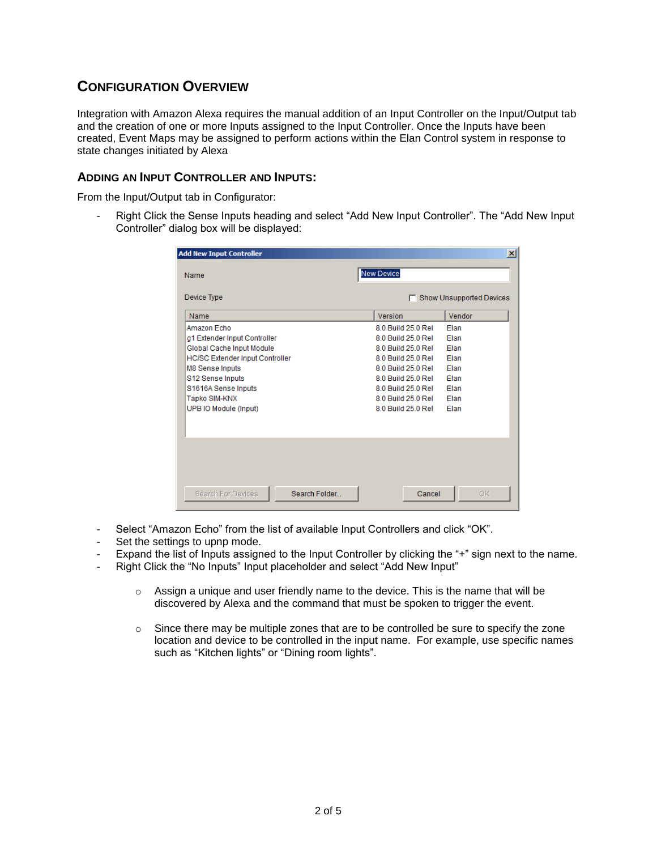# **CONFIGURATION OVERVIEW**

Integration with Amazon Alexa requires the manual addition of an Input Controller on the Input/Output tab and the creation of one or more Inputs assigned to the Input Controller. Once the Inputs have been created, Event Maps may be assigned to perform actions within the Elan Control system in response to state changes initiated by Alexa

#### **ADDING AN INPUT CONTROLLER AND INPUTS:**

From the Input/Output tab in Configurator:

Right Click the Sense Inputs heading and select "Add New Input Controller". The "Add New Input Controller" dialog box will be displayed:

| <b>Add New Input Controller</b>                                                                                                                                                                                                   |                                                                                                                                                                                                    | $\vert x \vert$                                                      |
|-----------------------------------------------------------------------------------------------------------------------------------------------------------------------------------------------------------------------------------|----------------------------------------------------------------------------------------------------------------------------------------------------------------------------------------------------|----------------------------------------------------------------------|
| Name                                                                                                                                                                                                                              | <b>New Device</b>                                                                                                                                                                                  |                                                                      |
| Device Type                                                                                                                                                                                                                       |                                                                                                                                                                                                    | Show Unsupported Devices                                             |
| <b>Name</b>                                                                                                                                                                                                                       | Version                                                                                                                                                                                            | Vendor                                                               |
| Amazon Echo<br>g1 Extender Input Controller<br>Global Cache Input Module<br><b>HC/SC Extender Input Controller</b><br><b>M8 Sense Inputs</b><br>S12 Sense Inputs<br>S1616A Sense Inputs<br>Tapko SIM-KNX<br>UPB IO Module (Input) | 8.0 Build 25.0 Rel<br>8.0 Build 25.0 Rel<br>8.0 Build 25.0 Rel<br>8.0 Build 25.0 Rel<br>8.0 Build 25.0 Rel<br>8.0 Build 25.0 Rel<br>8.0 Build 25.0 Rel<br>8.0 Build 25.0 Rel<br>8.0 Build 25.0 Rel | Elan<br>Flan<br>Elan<br>Flan<br>Flan<br>Elan<br>Flan<br>Flan<br>Elan |
| Search Folder<br><b>Search For Devices</b>                                                                                                                                                                                        | Cancel                                                                                                                                                                                             | 0K                                                                   |

- Select "Amazon Echo" from the list of available Input Controllers and click "OK".
- Set the settings to upnp mode.
- Expand the list of Inputs assigned to the Input Controller by clicking the "+" sign next to the name.
- Right Click the "No Inputs" Input placeholder and select "Add New Input"
	- $\circ$  Assign a unique and user friendly name to the device. This is the name that will be discovered by Alexa and the command that must be spoken to trigger the event.
	- $\circ$  Since there may be multiple zones that are to be controlled be sure to specify the zone location and device to be controlled in the input name. For example, use specific names such as "Kitchen lights" or "Dining room lights".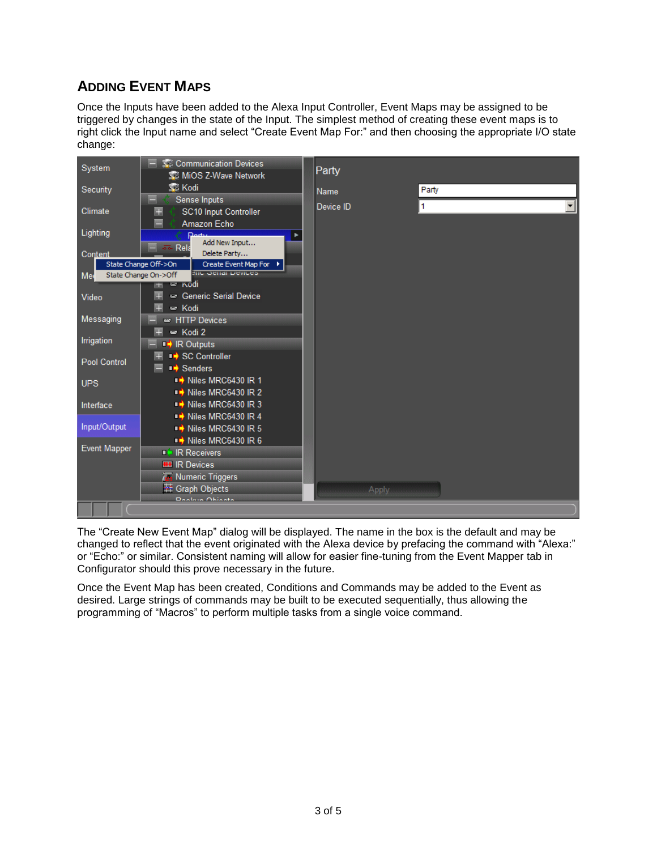# **ADDING EVENT MAPS**

Once the Inputs have been added to the Alexa Input Controller, Event Maps may be assigned to be triggered by changes in the state of the Input. The simplest method of creating these event maps is to right click the Input name and select "Create Event Map For:" and then choosing the appropriate I/O state change:



The "Create New Event Map" dialog will be displayed. The name in the box is the default and may be changed to reflect that the event originated with the Alexa device by prefacing the command with "Alexa:" or "Echo:" or similar. Consistent naming will allow for easier fine-tuning from the Event Mapper tab in Configurator should this prove necessary in the future.

Once the Event Map has been created, Conditions and Commands may be added to the Event as desired. Large strings of commands may be built to be executed sequentially, thus allowing the programming of "Macros" to perform multiple tasks from a single voice command.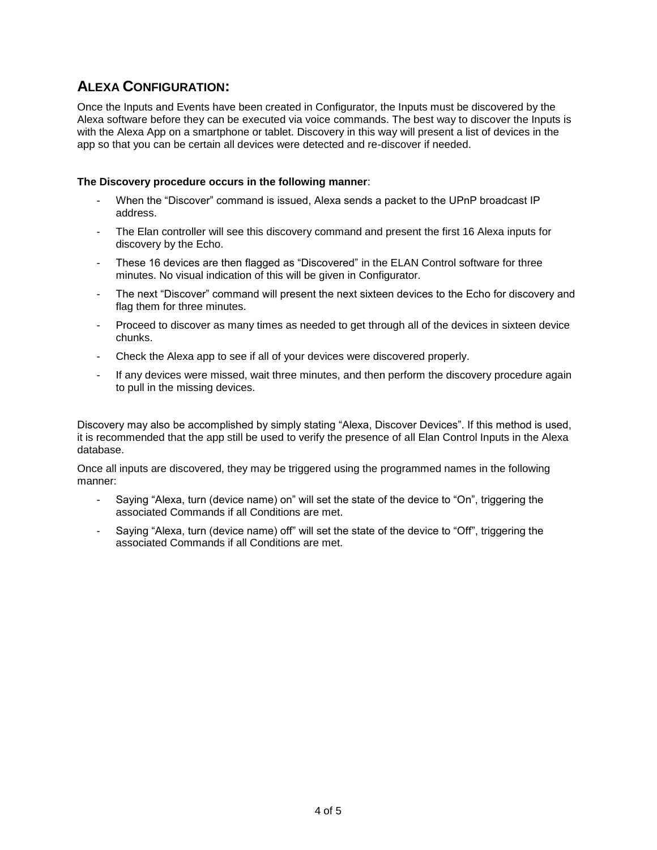# **ALEXA CONFIGURATION:**

Once the Inputs and Events have been created in Configurator, the Inputs must be discovered by the Alexa software before they can be executed via voice commands. The best way to discover the Inputs is with the Alexa App on a smartphone or tablet. Discovery in this way will present a list of devices in the app so that you can be certain all devices were detected and re-discover if needed.

#### **The Discovery procedure occurs in the following manner**:

- When the "Discover" command is issued, Alexa sends a packet to the UPnP broadcast IP address.
- The Elan controller will see this discovery command and present the first 16 Alexa inputs for discovery by the Echo.
- These 16 devices are then flagged as "Discovered" in the ELAN Control software for three minutes. No visual indication of this will be given in Configurator.
- The next "Discover" command will present the next sixteen devices to the Echo for discovery and flag them for three minutes.
- Proceed to discover as many times as needed to get through all of the devices in sixteen device chunks.
- Check the Alexa app to see if all of your devices were discovered properly.
- If any devices were missed, wait three minutes, and then perform the discovery procedure again to pull in the missing devices.

Discovery may also be accomplished by simply stating "Alexa, Discover Devices". If this method is used, it is recommended that the app still be used to verify the presence of all Elan Control Inputs in the Alexa database.

Once all inputs are discovered, they may be triggered using the programmed names in the following manner:

- Saying "Alexa, turn (device name) on" will set the state of the device to "On", triggering the associated Commands if all Conditions are met.
- Saying "Alexa, turn (device name) off" will set the state of the device to "Off", triggering the associated Commands if all Conditions are met.